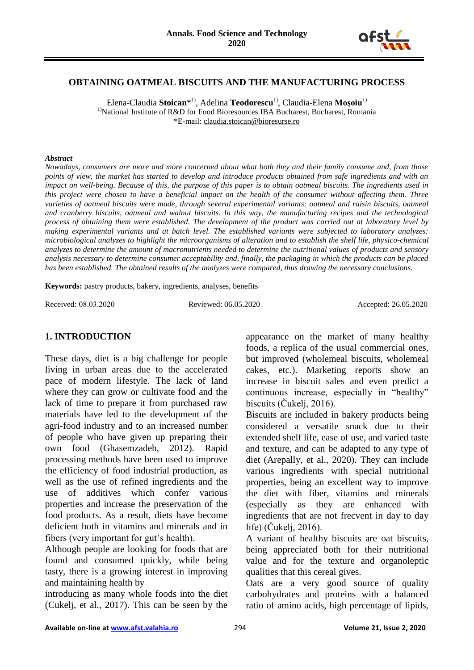

### **OBTAINING OATMEAL BISCUITS AND THE MANUFACTURING PROCESS**

Elena-Claudia **Stoican**\* 1), Adelina **Teodorescu**1), Claudia-Elena **Moşoiu**1) <sup>1)</sup>National Institute of R&D for Food Bioresources IBA Bucharest, Bucharest, Romania \*E-mail: claudia.stoican@bioresurse.ro

#### *Abstract*

*Nowadays, consumers are more and more concerned about what both they and their family consume and, from those points of view, the market has started to develop and introduce products obtained from safe ingredients and with an impact on well-being. Because of this, the purpose of this paper is to obtain oatmeal biscuits. The ingredients used in this project were chosen to have a beneficial impact on the health of the consumer without affecting them. Three varieties of oatmeal biscuits were made, through several experimental variants: oatmeal and raisin biscuits, oatmeal and cranberry biscuits, oatmeal and walnut biscuits. In this way, the manufacturing recipes and the technological process of obtaining them were established. The development of the product was carried out at laboratory level by making experimental variants and at batch level. The established variants were subjected to laboratory analyzes: microbiological analyzes to highlight the microorganisms of alteration and to establish the shelf life, physico-chemical analyzes to determine the amount of macronutrients needed to determine the nutritional values of products and sensory analysis necessary to determine consumer acceptability and, finally, the packaging in which the products can be placed has been established. The obtained results of the analyzes were compared, thus drawing the necessary conclusions.*

**Keywords:** pastry products, bakery, ingredients, analyses, benefits

Received: 08.03.2020 Reviewed: 06.05.2020 Accepted: 26.05.2020

# **1. INTRODUCTION**

These days, diet is a big challenge for people living in urban areas due to the accelerated pace of modern lifestyle. The lack of land where they can grow or cultivate food and the lack of time to prepare it from purchased raw materials have led to the development of the agri-food industry and to an increased number of people who have given up preparing their own food (Ghasemzadeh, 2012). Rapid processing methods have been used to improve the efficiency of food industrial production, as well as the use of refined ingredients and the use of additives which confer various properties and increase the preservation of the food products. As a result, diets have become deficient both in vitamins and minerals and in fibers (very important for gut's health).

Although people are looking for foods that are found and consumed quickly, while being tasty, there is a growing interest in improving and maintaining health by

introducing as many whole foods into the diet (Cukelj, et al., 2017). This can be seen by the

appearance on the market of many healthy foods, a replica of the usual commercial ones, but improved (wholemeal biscuits, wholemeal cakes, etc.). Marketing reports show an increase in biscuit sales and even predict a continuous increase, especially in "healthy" biscuits (Čukelj, 2016).

Biscuits are included in bakery products being considered a versatile snack due to their extended shelf life, ease of use, and varied taste and texture, and can be adapted to any type of diet (Arepally, et al., 2020). They can include various ingredients with special nutritional properties, being an excellent way to improve the diet with fiber, vitamins and minerals (especially as they are enhanced with ingredients that are not frecvent in day to day life) (Čukelj, 2016).

A variant of healthy biscuits are oat biscuits, being appreciated both for their nutritional value and for the texture and organoleptic qualities that this cereal gives.

Oats are a very good source of quality carbohydrates and proteins with a balanced ratio of amino acids, high percentage of lipids,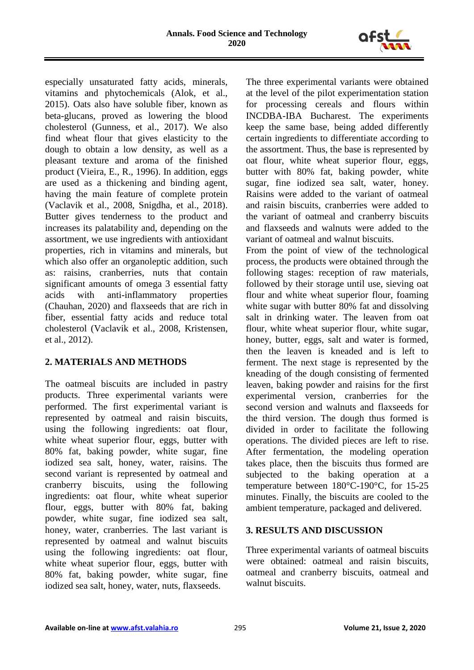

especially unsaturated fatty acids, minerals, vitamins and phytochemicals (Alok, et al., 2015). Oats also have soluble fiber, known as beta-glucans, proved as lowering the blood cholesterol (Gunness, et al., 2017). We also find wheat flour that gives elasticity to the dough to obtain a low density, as well as a pleasant texture and aroma of the finished product (Vieira, E., R., 1996). In addition, eggs are used as a thickening and binding agent, having the main feature of complete protein (Vaclavik et al., 2008, Snigdha, et al., 2018). Butter gives tenderness to the product and increases its palatability and, depending on the assortment, we use ingredients with antioxidant properties, rich in vitamins and minerals, but which also offer an organoleptic addition, such as: raisins, cranberries, nuts that contain significant amounts of omega 3 essential fatty acids with anti-inflammatory properties (Chauhan, 2020) and flaxseeds that are rich in fiber, essential fatty acids and reduce total cholesterol (Vaclavik et al., 2008, Kristensen, et al., 2012).

## **2. MATERIALS AND METHODS**

The oatmeal biscuits are included in pastry products. Three experimental variants were performed. The first experimental variant is represented by oatmeal and raisin biscuits, using the following ingredients: oat flour, white wheat superior flour, eggs, butter with 80% fat, baking powder, white sugar, fine iodized sea salt, honey, water, raisins. The second variant is represented by oatmeal and cranberry biscuits, using the following ingredients: oat flour, white wheat superior flour, eggs, butter with 80% fat, baking powder, white sugar, fine iodized sea salt, honey, water, cranberries. The last variant is represented by oatmeal and walnut biscuits using the following ingredients: oat flour, white wheat superior flour, eggs, butter with 80% fat, baking powder, white sugar, fine iodized sea salt, honey, water, nuts, flaxseeds.

The three experimental variants were obtained at the level of the pilot experimentation station for processing cereals and flours within INCDBA-IBA Bucharest. The experiments keep the same base, being added differently certain ingredients to differentiate according to the assortment. Thus, the base is represented by oat flour, white wheat superior flour, eggs, butter with 80% fat, baking powder, white sugar, fine iodized sea salt, water, honey. Raisins were added to the variant of oatmeal and raisin biscuits, cranberries were added to the variant of oatmeal and cranberry biscuits and flaxseeds and walnuts were added to the variant of oatmeal and walnut biscuits.

From the point of view of the technological process, the products were obtained through the following stages: reception of raw materials, followed by their storage until use, sieving oat flour and white wheat superior flour, foaming white sugar with butter 80% fat and dissolving salt in drinking water. The leaven from oat flour, white wheat superior flour, white sugar, honey, butter, eggs, salt and water is formed, then the leaven is kneaded and is left to ferment. The next stage is represented by the kneading of the dough consisting of fermented leaven, baking powder and raisins for the first experimental version, cranberries for the second version and walnuts and flaxseeds for the third version. The dough thus formed is divided in order to facilitate the following operations. The divided pieces are left to rise. After fermentation, the modeling operation takes place, then the biscuits thus formed are subjected to the baking operation at a temperature between 180°C-190°C, for 15-25 minutes. Finally, the biscuits are cooled to the ambient temperature, packaged and delivered.

### **3. RESULTS AND DISCUSSION**

Three experimental variants of oatmeal biscuits were obtained: oatmeal and raisin biscuits, oatmeal and cranberry biscuits, oatmeal and walnut biscuits.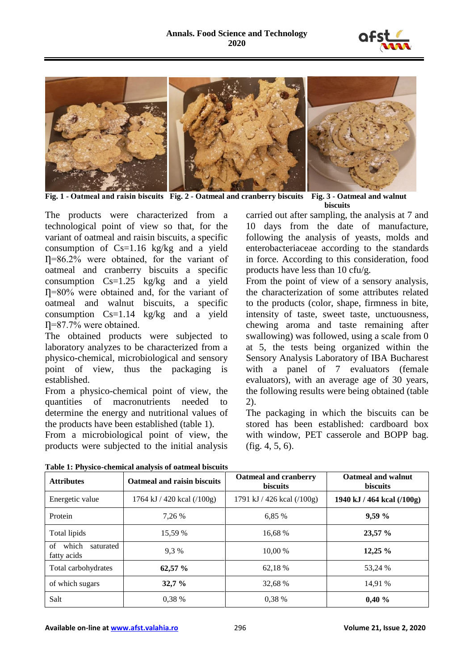



**Fig. 1 - Oatmeal and raisin biscuits Fig. 2 - Oatmeal and cranberry biscuits Fig. 3 - Oatmeal and walnut** 

**biscuits**

The products were characterized from a technological point of view so that, for the variant of oatmeal and raisin biscuits, a specific consumption of Cs=1.16 kg/kg and a yield Ƞ=86.2% were obtained, for the variant of oatmeal and cranberry biscuits a specific consumption Cs=1.25 kg/kg and a yield  $\Pi$ =80% were obtained and, for the variant of oatmeal and walnut biscuits, a specific consumption Cs=1.14 kg/kg and a yield Ƞ=87.7% were obtained.

The obtained products were subjected to laboratory analyzes to be characterized from a physico-chemical, microbiological and sensory point of view, thus the packaging is established.

From a physico-chemical point of view, the quantities of macronutrients needed to determine the energy and nutritional values of the products have been established (table 1).

From a microbiological point of view, the products were subjected to the initial analysis carried out after sampling, the analysis at 7 and 10 days from the date of manufacture, following the analysis of yeasts, molds and enterobacteriaceae according to the standards in force. According to this consideration, food products have less than 10 cfu/g.

From the point of view of a sensory analysis, the characterization of some attributes related to the products (color, shape, firmness in bite, intensity of taste, sweet taste, unctuousness, chewing aroma and taste remaining after swallowing) was followed, using a scale from 0 at 5, the tests being organized within the Sensory Analysis Laboratory of IBA Bucharest with a panel of 7 evaluators (female evaluators), with an average age of 30 years, the following results were being obtained (table 2).

The packaging in which the biscuits can be stored has been established: cardboard box with window, PET casserole and BOPP bag. (fig. 4, 5, 6).

| <b>Attributes</b>                       | Oatmeal and raisin biscuits | Oatmeal and cranberry<br><b>biscuits</b> | Oatmeal and walnut<br><b>biscuits</b> |
|-----------------------------------------|-----------------------------|------------------------------------------|---------------------------------------|
| Energetic value                         | 1764 kJ / 420 kcal (/100g)  | 1791 kJ / 426 kcal (/100g)               | 1940 kJ / 464 kcal (/100g)            |
| Protein                                 | 7.26 %                      | 6.85 %                                   | 9,59 %                                |
| Total lipids                            | 15.59 %                     | 16,68 %                                  | 23,57 %                               |
| which<br>of<br>saturated<br>fatty acids | 9.3 %                       | 10.00 %                                  | 12,25%                                |
| Total carbohydrates                     | 62,57 %                     | 62.18 %                                  | 53,24 %                               |
| of which sugars                         | 32,7%                       | 32,68 %                                  | 14.91 %                               |
| Salt                                    | 0.38 %                      | 0,38 %                                   | 0,40%                                 |

**Table 1: Physico-chemical analysis of oatmeal biscuits**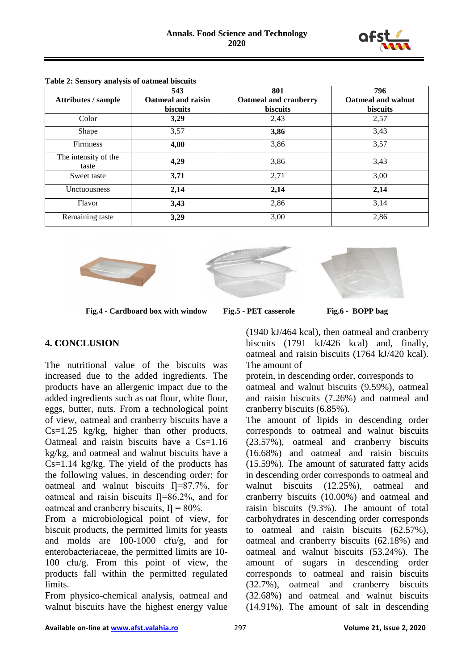

|                            | 543                       | 801                   | 796                       |
|----------------------------|---------------------------|-----------------------|---------------------------|
| <b>Attributes / sample</b> | <b>Oatmeal and raisin</b> | Oatmeal and cranberry | <b>Oatmeal and walnut</b> |
|                            | <b>biscuits</b>           | biscuits              | <b>biscuits</b>           |
| Color                      | 3,29                      | 2,43                  | 2,57                      |
| Shape                      | 3,57                      | 3,86                  | 3,43                      |
| <b>Firmness</b>            | 4,00                      | 3,86                  | 3,57                      |
| The intensity of the       | 4,29                      | 3,86                  | 3,43                      |
| taste                      |                           |                       |                           |
| Sweet taste                | 3,71                      | 2,71                  | 3,00                      |
| Unctuousness               | 2,14                      | 2,14                  | 2,14                      |
| Flavor                     | 3,43                      | 2,86                  | 3,14                      |
| Remaining taste            | 3,29                      | 3,00                  | 2,86                      |

**Table 2: Sensory analysis of oatmeal biscuits**





 $\overline{a}$ **Fig.4 - Cardboard box with window Fig.5 - PET casserole Fig.6 - BOPP bag**



## **4. CONCLUSION**

The nutritional value of the biscuits was increased due to the added ingredients. The products have an allergenic impact due to the added ingredients such as oat flour, white flour, eggs, butter, nuts. From a technological point of view, oatmeal and cranberry biscuits have a Cs=1.25 kg/kg, higher than other products. Oatmeal and raisin biscuits have a  $Cs = 1.16$ kg/kg, and oatmeal and walnut biscuits have a  $Cs=1.14$  kg/kg. The yield of the products has the following values, in descending order: for oatmeal and walnut biscuits  $\Gamma = 87.7\%$ , for oatmeal and raisin biscuits  $\eta$ =86.2%, and for oatmeal and cranberry biscuits,  $\eta = 80\%$ .

From a microbiological point of view, for biscuit products, the permitted limits for yeasts and molds are 100-1000 cfu/g, and for enterobacteriaceae, the permitted limits are 10- 100 cfu/g. From this point of view, the products fall within the permitted regulated limits.

From physico-chemical analysis, oatmeal and walnut biscuits have the highest energy value (1940 kJ/464 kcal), then oatmeal and cranberry biscuits (1791 kJ/426 kcal) and, finally, oatmeal and raisin biscuits (1764 kJ/420 kcal). The amount of

protein, in descending order, corresponds to oatmeal and walnut biscuits (9.59%), oatmeal and raisin biscuits (7.26%) and oatmeal and cranberry biscuits (6.85%).

The amount of lipids in descending order corresponds to oatmeal and walnut biscuits (23.57%), oatmeal and cranberry biscuits (16.68%) and oatmeal and raisin biscuits (15.59%). The amount of saturated fatty acids in descending order corresponds to oatmeal and walnut biscuits (12.25%), oatmeal and cranberry biscuits (10.00%) and oatmeal and raisin biscuits (9.3%). The amount of total carbohydrates in descending order corresponds to oatmeal and raisin biscuits (62.57%), oatmeal and cranberry biscuits (62.18%) and oatmeal and walnut biscuits (53.24%). The amount of sugars in descending order corresponds to oatmeal and raisin biscuits (32.7%), oatmeal and cranberry biscuits (32.68%) and oatmeal and walnut biscuits (14.91%). The amount of salt in descending